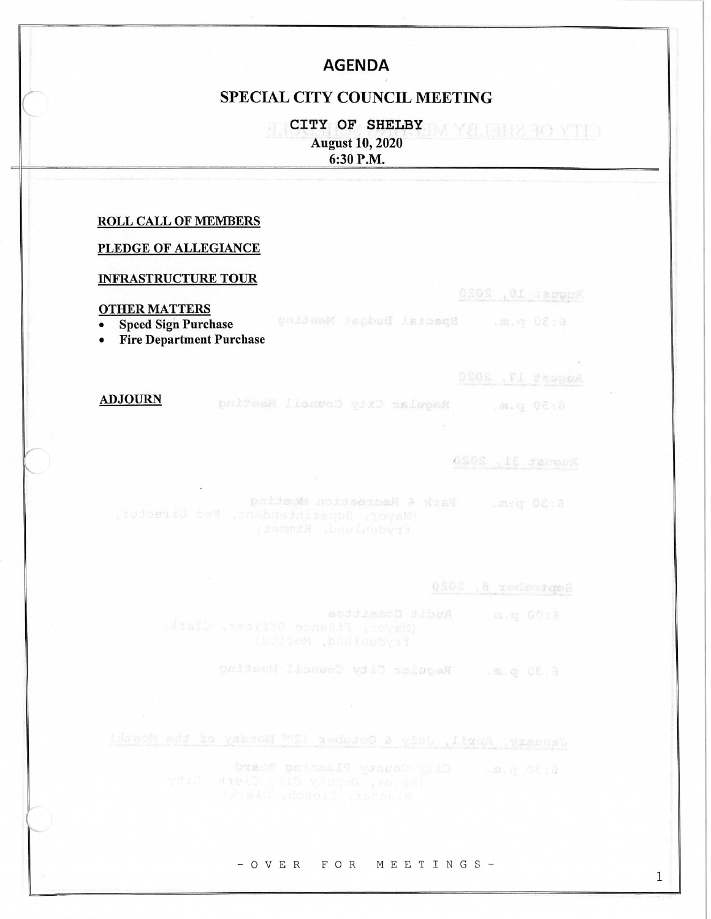# **AGENDA**

### **SPECIAL CITY COUNCIL MEETING**

CITY OF SHELBY **August 10, 2020** 6:30 P.M.

### **ROLL CALL OF MEMBERS**

### PLEDGE OF ALLEGIANCE

### **INFRASTRUCTURE TOUR**

### **OTHER MATTERS**

6:30 p.m. special Budget Manufield

**Speed Sign Purchase**  $\bullet$ 

• Fire Department Purchase

DSOS . TI desposa

OSOS .Of Sevens

CITY OF SHELBY M

### **ADJOURN**

6:30 p.m. Reqular bity Council Massimo

DSOS .18 SamouA

6:30 pat = Park & Recreation Wooting

0808 . 8 xedmod ge8

6:30 p.m. Regular City Council Maching

January, Appl. , John & October (2nd Monday of the Monday

6:30 p.m. City County Plannaming Board

#### - OVER FOR MEETINGS-

1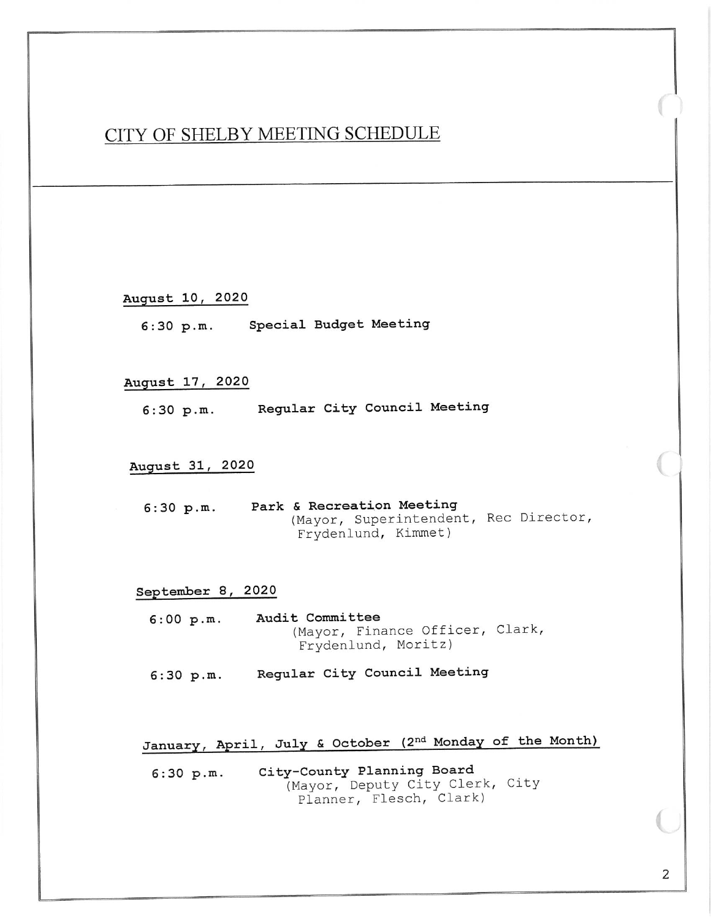# CITY OF SHELBY MEETING SCHEDULE

August 10, 2020

Special Budget Meeting  $6:30 p.m.$ 

### August 17, 2020

Regular City Council Meeting  $6:30 p.m.$ 

### August 31, 2020

Park & Recreation Meeting  $6:30 p.m.$ (Mayor, Superintendent, Rec Director, Frydenlund, Kimmet)

### September 8, 2020

 $6:00 p.m.$ Audit Committee (Mayor, Finance Officer, Clark, Frydenlund, Moritz)

Regular City Council Meeting  $6:30 p.m.$ 

January, April, July & October (2nd Monday of the Month)

City-County Planning Board  $6:30 p.m.$ (Mayor, Deputy City Clerk, City Planner, Flesch, Clark)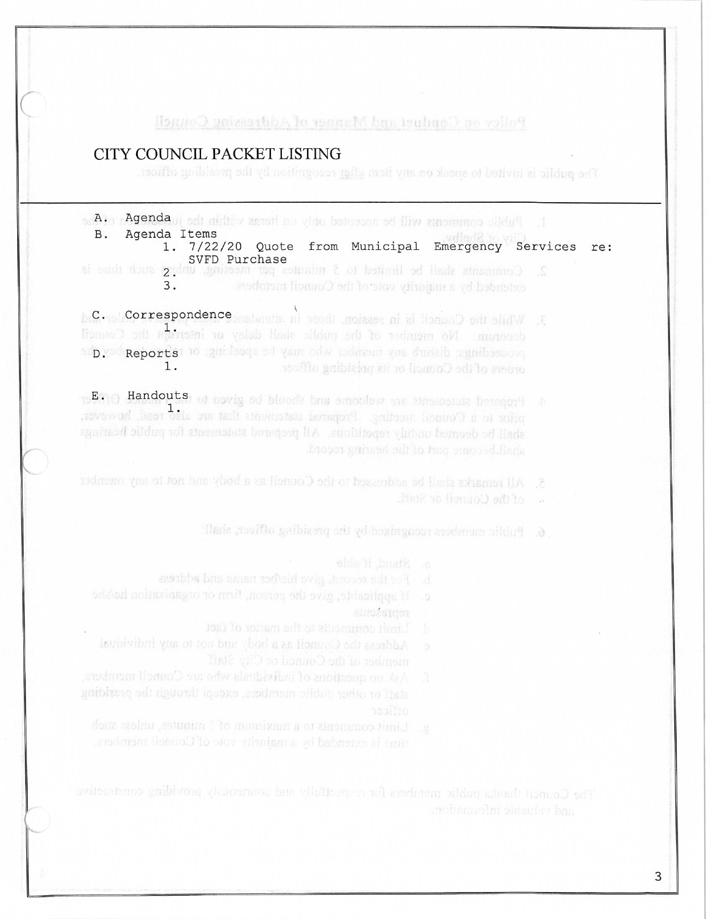### Policy on Conduct and Manner of Addressing Council

## CITY COUNCIL PACKET LISTING

The public is invited to speak on any item after recognitived by the presiding officer

1. Public comments will be accepted only on iteras within the it **Abgue of A.** 

- Agenda Items  $B<sub>1</sub>$ 1. 7/22/20 Quote from Municipal Emergency Services re:
- SVFD Purchase 2. Comments shall be limited to 5 minutes per meeting, unleg such time is extended by a majority vote of the Council racrobers.  $3.$

3. While the Council is in session, these in attendance and non-page . Old decrease. No member of the public side y independent the Council and you Reports' to guidence of you only nedmon you duriab remibesome  $1$ . orders of the Council or its presiding officer.

16ETIO Handouts, of noving ed bloods bas emotions are stressedule beingery ... prior to a Council meeting. Propered statements that are also read, however, shall be deemed unduly repotlicual. All prepared statements for public hearings shall become part of the hearing record.

- 5. All remarks shall be addressed to the Council as a body and not to any number
	- . of the Council or Staff.
	- 6. Public members recognized by the presiding officer, shall:
		-
	- b. For the record, give his/ber name and address
	- **Einsastden** 
		-
	- Address the Council as a body und not to any individual
- Ask no questions of individuals who are Council members,
	-

The Council thanks public members for respectfully and courteously providing constructive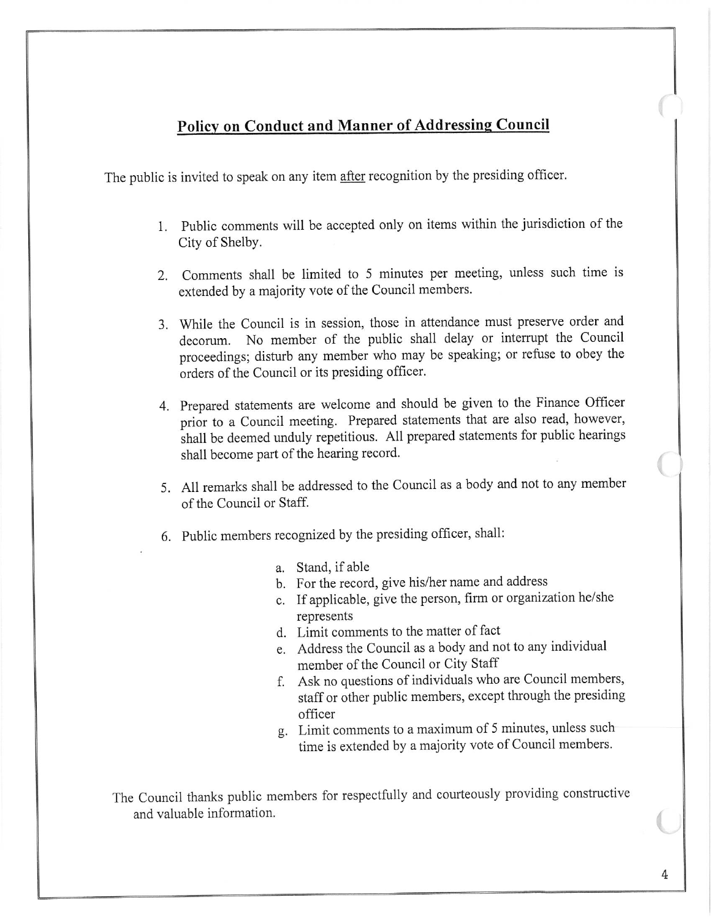# **Policy on Conduct and Manner of Addressing Council**

The public is invited to speak on any item after recognition by the presiding officer.

- 1. Public comments will be accepted only on items within the jurisdiction of the City of Shelby.
- 2. Comments shall be limited to 5 minutes per meeting, unless such time is extended by a majority vote of the Council members.
- 3. While the Council is in session, those in attendance must preserve order and decorum. No member of the public shall delay or interrupt the Council proceedings; disturb any member who may be speaking; or refuse to obey the orders of the Council or its presiding officer.
- 4. Prepared statements are welcome and should be given to the Finance Officer prior to a Council meeting. Prepared statements that are also read, however, shall be deemed unduly repetitious. All prepared statements for public hearings shall become part of the hearing record.
- 5. All remarks shall be addressed to the Council as a body and not to any member of the Council or Staff.
- 6. Public members recognized by the presiding officer, shall:
	- a. Stand, if able
	- b. For the record, give his/her name and address
	- c. If applicable, give the person, firm or organization he/she represents
	- d. Limit comments to the matter of fact
	- e. Address the Council as a body and not to any individual member of the Council or City Staff
	- f. Ask no questions of individuals who are Council members, staff or other public members, except through the presiding officer
	- g. Limit comments to a maximum of 5 minutes, unless such time is extended by a majority vote of Council members.

The Council thanks public members for respectfully and courteously providing constructive and valuable information.